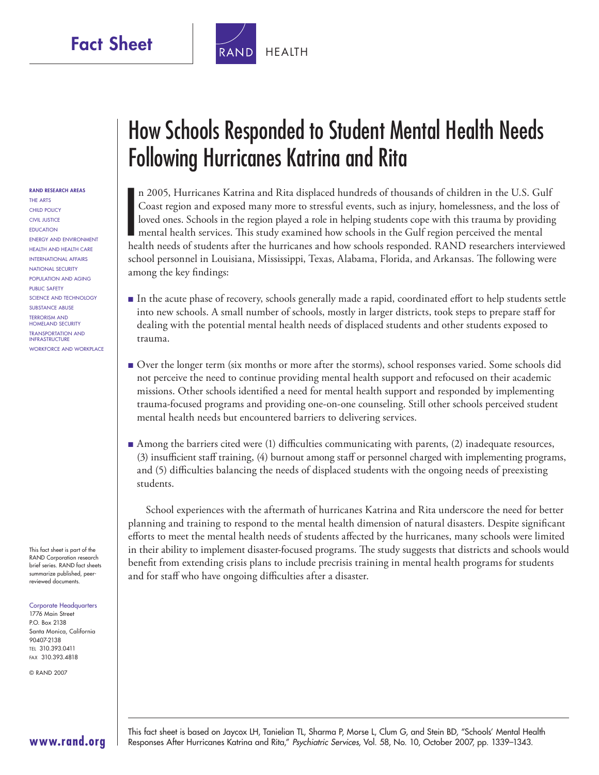

#### **RAND RESEARCH AREAS**

THE ARTS CHILD POLICY CIVIL JUSTICE EDUCATION ENERGY AND ENVIRONMENT HEALTH AND HEALTH CARE INTERNATIONAL AFFAIRS NATIONAL SECURITY POPULATION AND AGING PUBLIC SAFETY SCIENCE AND TECHNOLOGY SUBSTANCE ABUSE TERRORISM AND HOMELAND SECURITY TRANSPORTATION AND **INFRASTRUCTURE** WORKFORCE AND WORKPLACE

This fact sheet is part of the RAND Corporation research brief series. RAND fact sheets summarize published, peerreviewed documents.

#### Corporate Headquarters

1776 Main Street P.O. Box 2138 Santa Monica, California 90407-2138 TEL 310.393.0411 FAX 310.393.4818

© RAND 2007

# How Schools Responded to Student Mental Health Needs Following Hurricanes Katrina and Rita

I<br>I<br>I<br>I<br>I<br>I<br>i<br>i<br>i<br>i<br>i<br>i<br>i<br>i<br>i<br> n 2005, Hurricanes Katrina and Rita displaced hundreds of thousands of children in the U.S. Gulf Coast region and exposed many more to stressful events, such as injury, homelessness, and the loss of loved ones. Schools in the region played a role in helping students cope with this trauma by providing mental health services. This study examined how schools in the Gulf region perceived the mental health needs of students after the hurricanes and how schools responded. RAND researchers interviewed school personnel in Louisiana, Mississippi, Texas, Alabama, Florida, and Arkansas. The following were among the key findings:

- In the acute phase of recovery, schools generally made a rapid, coordinated effort to help students settle into new schools. A small number of schools, mostly in larger districts, took steps to prepare staff for dealing with the potential mental health needs of displaced students and other students exposed to trauma.
- Over the longer term (six months or more after the storms), school responses varied. Some schools did not perceive the need to continue providing mental health support and refocused on their academic missions. Other schools identified a need for mental health support and responded by implementing trauma-focused programs and providing one-on-one counseling. Still other schools perceived student mental health needs but encountered barriers to delivering services.
- Among the barriers cited were (1) difficulties communicating with parents, (2) inadequate resources, (3) insufficient staff training, (4) burnout among staff or personnel charged with implementing programs, and (5) difficulties balancing the needs of displaced students with the ongoing needs of preexisting students.

School experiences with the aftermath of hurricanes Katrina and Rita underscore the need for better planning and training to respond to the mental health dimension of natural disasters. Despite significant efforts to meet the mental health needs of students affected by the hurricanes, many schools were limited in their ability to implement disaster-focused programs. The study suggests that districts and schools would benefit from extending crisis plans to include precrisis training in mental health programs for students and for staff who have ongoing difficulties after a disaster.



This fact sheet is based on Jaycox LH, Tanielian TL, Sharma P, Morse L, Clum G, and Stein BD, "Schools' Mental Health Responses After Hurricanes Katrina and Rita," Psychiatric Services, Vol. 58, No. 10, October 2007, pp. 1339–1343.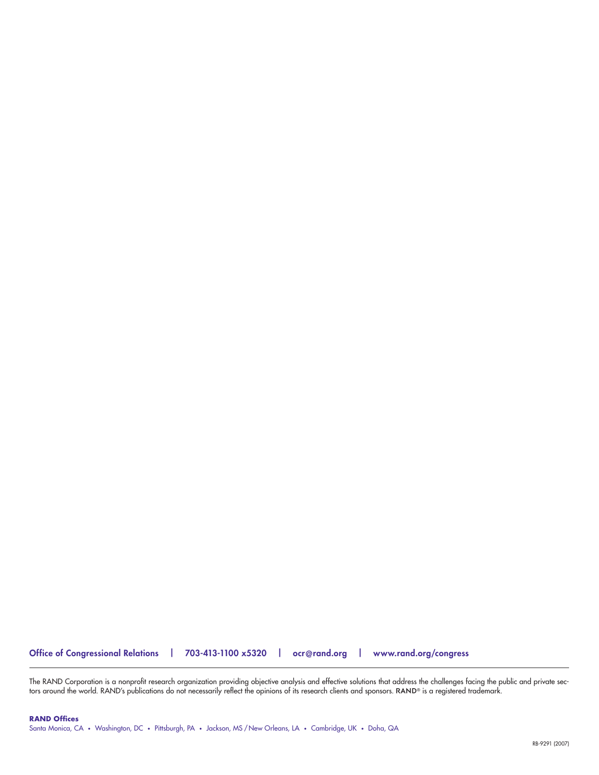The RAND Corporation is a nonprolit research organization providing objective analysis and ettective solutions that address the challenges tacing the public and private sec-<br>tors around the world. RAND's publications do no

**Office of Congressional Relations | 703-413-1100 x5320 | [ocr@rand.org](mailto:ocr@rand.org) | [www.rand.org/congress](http://www.rand.org/congress)**